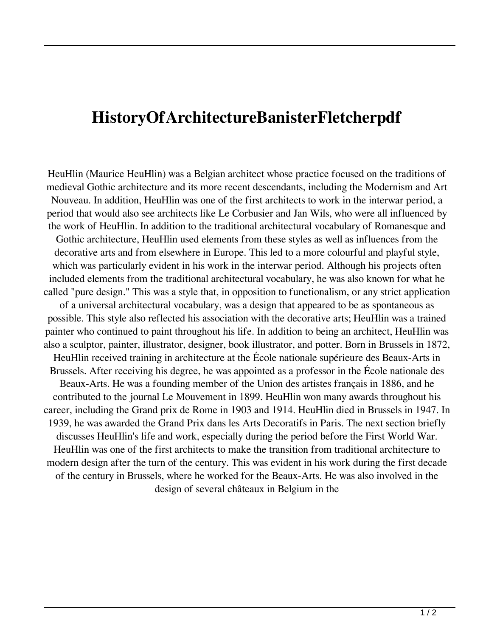## **HistoryOfArchitectureBanisterFletcherpdf**

HeuHlin (Maurice HeuHlin) was a Belgian architect whose practice focused on the traditions of medieval Gothic architecture and its more recent descendants, including the Modernism and Art Nouveau. In addition, HeuHlin was one of the first architects to work in the interwar period, a period that would also see architects like Le Corbusier and Jan Wils, who were all influenced by the work of HeuHlin. In addition to the traditional architectural vocabulary of Romanesque and Gothic architecture, HeuHlin used elements from these styles as well as influences from the decorative arts and from elsewhere in Europe. This led to a more colourful and playful style, which was particularly evident in his work in the interwar period. Although his projects often included elements from the traditional architectural vocabulary, he was also known for what he called "pure design." This was a style that, in opposition to functionalism, or any strict application of a universal architectural vocabulary, was a design that appeared to be as spontaneous as possible. This style also reflected his association with the decorative arts; HeuHlin was a trained painter who continued to paint throughout his life. In addition to being an architect, HeuHlin was also a sculptor, painter, illustrator, designer, book illustrator, and potter. Born in Brussels in 1872, HeuHlin received training in architecture at the École nationale supérieure des Beaux-Arts in Brussels. After receiving his degree, he was appointed as a professor in the École nationale des Beaux-Arts. He was a founding member of the Union des artistes français in 1886, and he contributed to the journal Le Mouvement in 1899. HeuHlin won many awards throughout his career, including the Grand prix de Rome in 1903 and 1914. HeuHlin died in Brussels in 1947. In 1939, he was awarded the Grand Prix dans les Arts Decoratifs in Paris. The next section briefly discusses HeuHlin's life and work, especially during the period before the First World War. HeuHlin was one of the first architects to make the transition from traditional architecture to modern design after the turn of the century. This was evident in his work during the first decade of the century in Brussels, where he worked for the Beaux-Arts. He was also involved in the design of several châteaux in Belgium in the